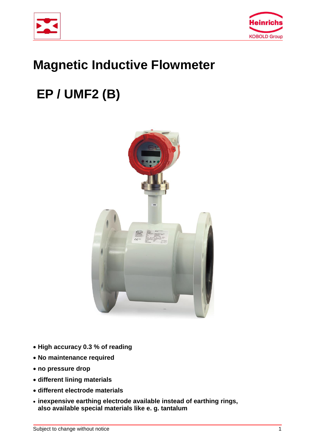



## **Magnetic Inductive Flowmeter**

# **EP / UMF2 (B)**



- **High accuracy 0.3 % of reading**
- **No maintenance required**
- **no pressure drop**
- **different lining materials**
- **different electrode materials**
- **inexpensive earthing electrode available instead of earthing rings, also available special materials like e. g. tantalum**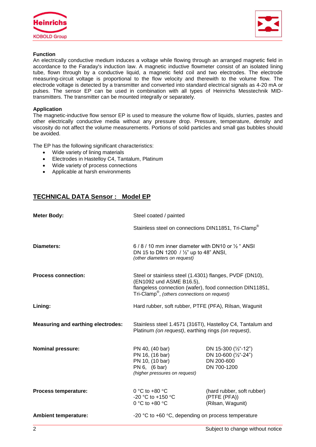



#### **Function**

An electrically conductive medium induces a voltage while flowing through an arranged magnetic field in accordance to the Faraday's induction law. A magnetic inductive flowmeter consist of an isolated lining tube, flown through by a conductive liquid, a magnetic field coil and two electrodes. The electrode measuring-circuit voltage is proportional to the flow velocity and therewith to the volume flow. The electrode voltage is detected by a transmitter and converted into standard electrical signals as 4-20 mA or pulses. The sensor EP can be used in combination with all types of Heinrichs Messtechnik MIDtransmitters. The transmitter can be mounted integrally or separately.

#### **Application**

The magnetic-inductive flow sensor EP is used to measure the volume flow of liquids, slurries, pastes and other electrically conductive media without any pressure drop. Pressure, temperature, density and viscosity do not affect the volume measurements. Portions of solid particles and small gas bubbles should be avoided.

The EP has the following significant characteristics:

- Wide variety of lining materials
- Electrodes in Hastelloy C4, Tantalum, Platinum
- Wide variety of process connections
- Applicable at harsh environments

## **TECHNICAL DATA Sensor : Model EP**

| <b>Meter Body:</b>                        | Steel coated / painted                                                                                                                                                                                      |                                                                           |  |
|-------------------------------------------|-------------------------------------------------------------------------------------------------------------------------------------------------------------------------------------------------------------|---------------------------------------------------------------------------|--|
|                                           | Stainless steel on connections DIN11851, Tri-Clamp®                                                                                                                                                         |                                                                           |  |
| Diameters:                                | 6/8/10 mm inner diameter with DN10 or 1/2 " ANSI<br>DN 15 to DN 1200 / 1/2" up to 48" ANSI,<br>(other diameters on request)                                                                                 |                                                                           |  |
| <b>Process connection:</b>                | Steel or stainless steel (1.4301) flanges, PVDF (DN10),<br>(EN1092 und ASME B16.5),<br>flangeless connection (wafer), food connection DIN11851,<br>Tri-Clamp <sup>®</sup> , (others connections on request) |                                                                           |  |
| Lining:                                   | Hard rubber, soft rubber, PTFE (PFA), Rilsan, Wagunit                                                                                                                                                       |                                                                           |  |
| <b>Measuring and earthing electrodes:</b> | Stainless steel 1.4571 (316TI), Hastelloy C4, Tantalum and<br>Platinum (on request), earthing rings (on request),                                                                                           |                                                                           |  |
| <b>Nominal pressure:</b>                  | PN 40, (40 bar)<br>PN 16, (16 bar)<br>PN 10, (10 bar)<br>PN 6, (6 bar)<br>(higher pressures on request)                                                                                                     | DN 15-300 (1/2"-12")<br>DN 10-600 (1/2"-24")<br>DN 200-600<br>DN 700-1200 |  |
| Process temperature:                      | 0 °C to +80 $\degree$ C<br>-20 °C to +150 °C<br>0 °C to +80 $\degree$ C                                                                                                                                     | (hard rubber, soft rubber)<br>(PTFE (PFA))<br>(Rilsan, Wagunit)           |  |
| <b>Ambient temperature:</b>               | -20 $^{\circ}$ C to +60 $^{\circ}$ C, depending on process temperature                                                                                                                                      |                                                                           |  |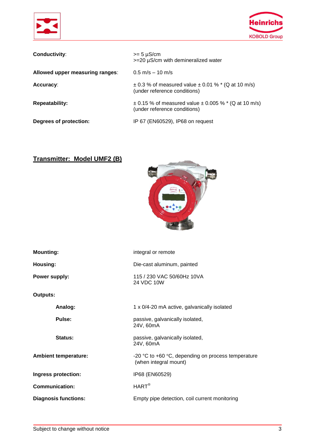



| Conductivity:                   | $>= 5 \mu S/cm$<br>$>=$ 20 $\mu$ S/cm with demineralized water                                 |
|---------------------------------|------------------------------------------------------------------------------------------------|
| Allowed upper measuring ranges: | $0.5 \text{ m/s} - 10 \text{ m/s}$                                                             |
| Accuracy:                       | $\pm$ 0.3 % of measured value $\pm$ 0.01 % $*$ (Q at 10 m/s)<br>(under reference conditions)   |
| <b>Repeatability:</b>           | $\pm$ 0.15 % of measured value $\pm$ 0.005 % $*$ (Q at 10 m/s)<br>(under reference conditions) |
| Degrees of protection:          | IP 67 (EN60529), IP68 on request                                                               |

## **Transmitter: Model UMF2 (B)**



| <b>Mounting:</b>            | integral or remote                                                                              |  |  |
|-----------------------------|-------------------------------------------------------------------------------------------------|--|--|
| Housing:                    | Die-cast aluminum, painted                                                                      |  |  |
| Power supply:               | 115 / 230 VAC 50/60Hz 10VA<br>24 VDC 10W                                                        |  |  |
| <b>Outputs:</b>             |                                                                                                 |  |  |
| Analog:                     | 1 x 0/4-20 mA active, galvanically isolated                                                     |  |  |
| Pulse:                      | passive, galvanically isolated,<br>24V, 60mA                                                    |  |  |
| Status:                     | passive, galvanically isolated,<br>24V, 60mA                                                    |  |  |
| <b>Ambient temperature:</b> | -20 $^{\circ}$ C to +60 $^{\circ}$ C, depending on process temperature<br>(when integral mount) |  |  |
| Ingress protection:         | IP68 (EN60529)                                                                                  |  |  |
| <b>Communication:</b>       | $HART^{\circledR}$                                                                              |  |  |
| <b>Diagnosis functions:</b> | Empty pipe detection, coil current monitoring                                                   |  |  |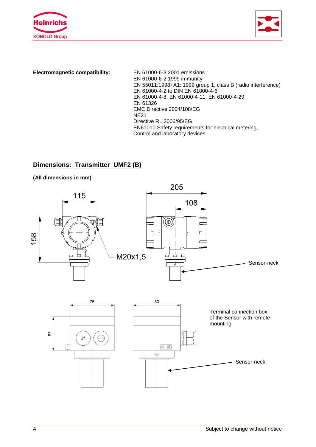



**Electromagnetic compatibility:** EN 61000-6-3:2001 emissions

EN 61000-6-2:1999 immunity EN 55011:1998+A1: 1999 group 1, class B (radio interference) EN 61000-4-2 to DIN EN 61000-4-6 EN 61000-4-8, EN 61000-4-11, EN 61000-4-29 EN 61326 EMC Directive 2004/108/EG NE21 Directive RL 2006/95/EG EN61010 Safety requirements for electrical metering, Control and laboratory devices

## **Dimensions: Transmitter UMF2 (B)**



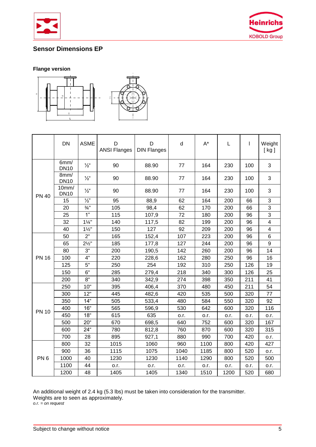



## **Sensor Dimensions EP**

## **Flange version**



|                 | <b>DN</b>            | <b>ASME</b>      | D<br><b>ANSI Flanges</b> | D<br><b>DIN Flanges</b> | d    | $A^*$ | L    | T    | Weight<br>[kg]          |
|-----------------|----------------------|------------------|--------------------------|-------------------------|------|-------|------|------|-------------------------|
|                 | 6mm/<br><b>DN10</b>  | $\frac{1}{2}$ "  | 90                       | 88.90                   | 77   | 164   | 230  | 100  | 3                       |
|                 | 8mm/<br><b>DN10</b>  | $\frac{1}{2}$ "  | 90                       | 88.90                   | 77   | 164   | 230  | 100  | 3                       |
| <b>PN 40</b>    | 10mm/<br><b>DN10</b> | $\frac{1}{2}$ "  | 90                       | 88.90                   | 77   | 164   | 230  | 100  | 3                       |
|                 | 15                   | $\frac{1}{2}$    | 95                       | 88,9                    | 62   | 164   | 200  | 66   | 3                       |
|                 | 20                   | $\frac{3}{4}$ "  | 105                      | 98,4                    | 62   | 170   | 200  | 66   | $\overline{3}$          |
|                 | 25                   | 1"               | 115                      | 107,9                   | 72   | 180   | 200  | 96   | 3                       |
|                 | 32                   | $1\frac{1}{4}$   | 140                      | 117,5                   | 82   | 199   | 200  | 96   | $\overline{\mathbf{4}}$ |
|                 | 40                   | $1\frac{1}{2}$   | 150                      | 127                     | 92   | 209   | 200  | 96   | $\overline{\mathbf{4}}$ |
|                 | 50                   | 2"               | 165                      | 152,4                   | 107  | 223   | 200  | 96   | 6                       |
|                 | 65                   | $2\frac{1}{2}$ " | 185                      | 177,8                   | 127  | 244   | 200  | 96   | 9                       |
|                 | 80                   | 3"               | 200                      | 190,5                   | 142  | 260   | 200  | 96   | 14                      |
| <b>PN 16</b>    | 100                  | 4"               | 220                      | 228,6                   | 162  | 280   | 250  | 96   | 16                      |
|                 | 125                  | 5"               | 250                      | 254                     | 192  | 310   | 250  | 126  | 19                      |
|                 | 150                  | 6"               | 285                      | 279,4                   | 218  | 340   | 300  | 126  | 25                      |
|                 | 200                  | 8"               | 340                      | 342,9                   | 274  | 398   | 350  | 211  | 41                      |
|                 | 250                  | 10"              | 395                      | 406,4                   | 370  | 480   | 450  | 211  | 54                      |
|                 | 300                  | 12"              | 445                      | 482,6                   | 420  | 535   | 500  | 320  | 77                      |
|                 | 350                  | 14 <sup>°</sup>  | 505                      | 533,4                   | 480  | 584   | 550  | 320  | 92                      |
| <b>PN 10</b>    | 400                  | 16 <sup>th</sup> | 565                      | 596,9                   | 530  | 642   | 600  | 320  | 116                     |
|                 | 450                  | 18 <sup>th</sup> | 615                      | 635                     | o.r. | o.r.  | o.r. | o.r. | o.r.                    |
|                 | 500                  | 20 <sup>th</sup> | 670                      | 698,5                   | 640  | 752   | 600  | 320  | 167                     |
|                 | 600                  | 24 <sup>"</sup>  | 780                      | 812,8                   | 760  | 870   | 600  | 320  | 315                     |
|                 | 700                  | 28               | 895                      | 927,1                   | 880  | 990   | 700  | 420  | o.r.                    |
|                 | 800                  | 32               | 1015                     | 1060                    | 960  | 1100  | 800  | 420  | 427                     |
|                 | 900                  | 36               | 1115                     | 1075                    | 1040 | 1185  | 800  | 520  | o.r.                    |
| PN <sub>6</sub> | 1000                 | 40               | 1230                     | 1230                    | 1140 | 1290  | 800  | 520  | 500                     |
|                 | 1100                 | 44               | o.r.                     | o.r.                    | o.r. | o.r.  | o.r. | o.r. | o.r.                    |
|                 | 1200                 | 48               | 1405                     | 1405                    | 1340 | 1510  | 1200 | 520  | 680                     |

An additional weight of 2.4 kg (5.3 lbs) must be taken into consideration for the transmitter. Weights are to seen as approximately.

*o.r. = on request*